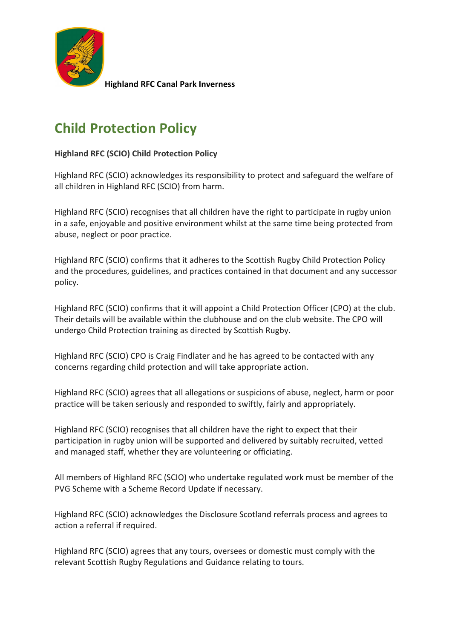

**Highland RFC Canal Park Inverness**

## **Child Protection Policy**

## **Highland RFC (SCIO) Child Protection Policy**

Highland RFC (SCIO) acknowledges its responsibility to protect and safeguard the welfare of all children in Highland RFC (SCIO) from harm.

Highland RFC (SCIO) recognises that all children have the right to participate in rugby union in a safe, enjoyable and positive environment whilst at the same time being protected from abuse, neglect or poor practice.

Highland RFC (SCIO) confirms that it adheres to the Scottish Rugby Child Protection Policy and the procedures, guidelines, and practices contained in that document and any successor policy.

Highland RFC (SCIO) confirms that it will appoint a Child Protection Officer (CPO) at the club. Their details will be available within the clubhouse and on the club website. The CPO will undergo Child Protection training as directed by Scottish Rugby.

Highland RFC (SCIO) CPO is Craig Findlater and he has agreed to be contacted with any concerns regarding child protection and will take appropriate action.

Highland RFC (SCIO) agrees that all allegations or suspicions of abuse, neglect, harm or poor practice will be taken seriously and responded to swiftly, fairly and appropriately.

Highland RFC (SCIO) recognises that all children have the right to expect that their participation in rugby union will be supported and delivered by suitably recruited, vetted and managed staff, whether they are volunteering or officiating.

All members of Highland RFC (SCIO) who undertake regulated work must be member of the PVG Scheme with a Scheme Record Update if necessary.

Highland RFC (SCIO) acknowledges the Disclosure Scotland referrals process and agrees to action a referral if required.

Highland RFC (SCIO) agrees that any tours, oversees or domestic must comply with the relevant Scottish Rugby Regulations and Guidance relating to tours.